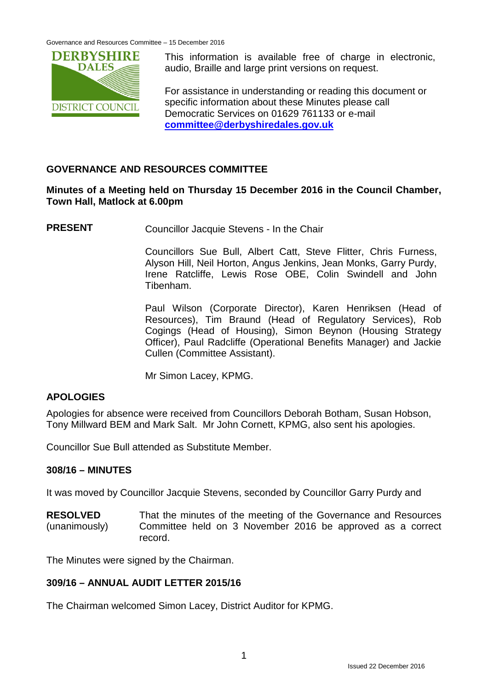Governance and Resources Committee – 15 December 2016



This information is available free of charge in electronic, audio, Braille and large print versions on request.

For assistance in understanding or reading this document or specific information about these Minutes please call Democratic Services on 01629 761133 or e-mail **[committee@derbyshiredales.gov.uk](mailto:committee@derbyshiredales.gov.uk)**

# **GOVERNANCE AND RESOURCES COMMITTEE**

## **Minutes of a Meeting held on Thursday 15 December 2016 in the Council Chamber, Town Hall, Matlock at 6.00pm**

**PRESENT** Councillor Jacquie Stevens - In the Chair

Councillors Sue Bull, Albert Catt, Steve Flitter, Chris Furness, Alyson Hill, Neil Horton, Angus Jenkins, Jean Monks, Garry Purdy, Irene Ratcliffe, Lewis Rose OBE, Colin Swindell and John Tibenham.

Paul Wilson (Corporate Director), Karen Henriksen (Head of Resources), Tim Braund (Head of Regulatory Services), Rob Cogings (Head of Housing), Simon Beynon (Housing Strategy Officer), Paul Radcliffe (Operational Benefits Manager) and Jackie Cullen (Committee Assistant).

Mr Simon Lacey, KPMG.

# **APOLOGIES**

Apologies for absence were received from Councillors Deborah Botham, Susan Hobson, Tony Millward BEM and Mark Salt. Mr John Cornett, KPMG, also sent his apologies.

Councillor Sue Bull attended as Substitute Member.

# **308/16 – MINUTES**

It was moved by Councillor Jacquie Stevens, seconded by Councillor Garry Purdy and

**RESOLVED** (unanimously) That the minutes of the meeting of the Governance and Resources Committee held on 3 November 2016 be approved as a correct record.

The Minutes were signed by the Chairman.

# **309/16 – ANNUAL AUDIT LETTER 2015/16**

The Chairman welcomed Simon Lacey, District Auditor for KPMG.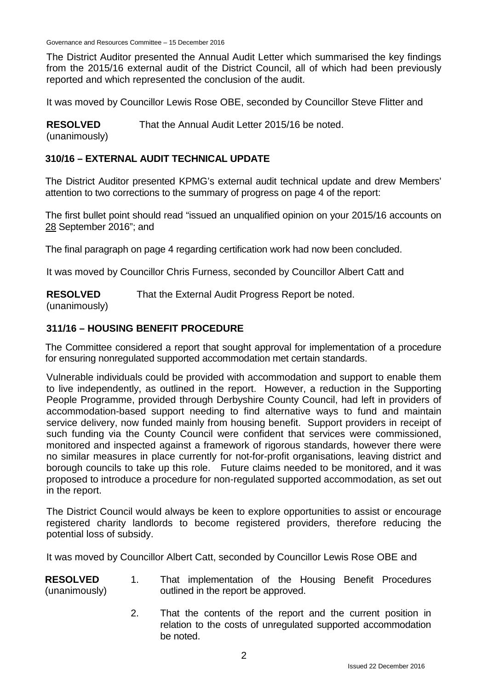Governance and Resources Committee – 15 December 2016

The District Auditor presented the Annual Audit Letter which summarised the key findings from the 2015/16 external audit of the District Council, all of which had been previously reported and which represented the conclusion of the audit.

It was moved by Councillor Lewis Rose OBE, seconded by Councillor Steve Flitter and

**RESOLVED** That the Annual Audit Letter 2015/16 be noted.

(unanimously)

## **310/16 – EXTERNAL AUDIT TECHNICAL UPDATE**

The District Auditor presented KPMG's external audit technical update and drew Members' attention to two corrections to the summary of progress on page 4 of the report:

The first bullet point should read "issued an unqualified opinion on your 2015/16 accounts on 28 September 2016"; and

The final paragraph on page 4 regarding certification work had now been concluded.

It was moved by Councillor Chris Furness, seconded by Councillor Albert Catt and

**RESOLVED** That the External Audit Progress Report be noted.

(unanimously)

## **311/16 – HOUSING BENEFIT PROCEDURE**

The Committee considered a report that sought approval for implementation of a procedure for ensuring nonregulated supported accommodation met certain standards.

Vulnerable individuals could be provided with accommodation and support to enable them to live independently, as outlined in the report. However, a reduction in the Supporting People Programme, provided through Derbyshire County Council, had left in providers of accommodation-based support needing to find alternative ways to fund and maintain service delivery, now funded mainly from housing benefit. Support providers in receipt of such funding via the County Council were confident that services were commissioned, monitored and inspected against a framework of rigorous standards, however there were no similar measures in place currently for not-for-profit organisations, leaving district and borough councils to take up this role. Future claims needed to be monitored, and it was proposed to introduce a procedure for non-regulated supported accommodation, as set out in the report.

The District Council would always be keen to explore opportunities to assist or encourage registered charity landlords to become registered providers, therefore reducing the potential loss of subsidy.

It was moved by Councillor Albert Catt, seconded by Councillor Lewis Rose OBE and

| <b>RESOLVED</b> |  | That implementation of the Housing Benefit Procedures |  |  |  |
|-----------------|--|-------------------------------------------------------|--|--|--|
| (unanimously)   |  | outlined in the report be approved.                   |  |  |  |

2. That the contents of the report and the current position in relation to the costs of unregulated supported accommodation be noted.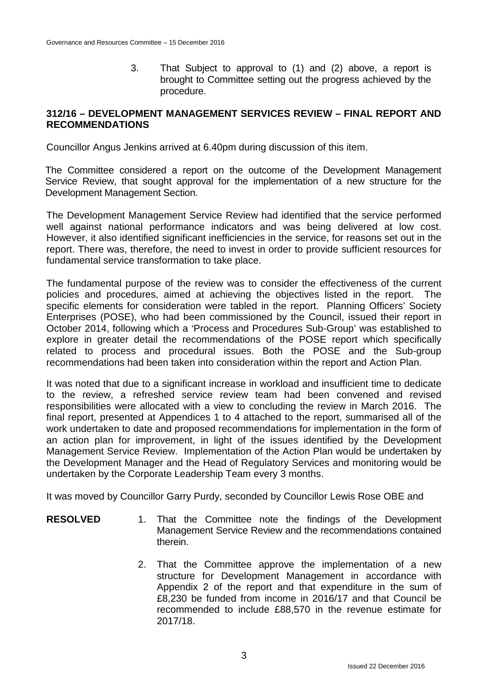3. That Subject to approval to (1) and (2) above, a report is brought to Committee setting out the progress achieved by the procedure.

### **312/16 – DEVELOPMENT MANAGEMENT SERVICES REVIEW – FINAL REPORT AND RECOMMENDATIONS**

Councillor Angus Jenkins arrived at 6.40pm during discussion of this item.

The Committee considered a report on the outcome of the Development Management Service Review, that sought approval for the implementation of a new structure for the Development Management Section.

The Development Management Service Review had identified that the service performed well against national performance indicators and was being delivered at low cost. However, it also identified significant inefficiencies in the service, for reasons set out in the report. There was, therefore, the need to invest in order to provide sufficient resources for fundamental service transformation to take place.

The fundamental purpose of the review was to consider the effectiveness of the current policies and procedures, aimed at achieving the objectives listed in the report. The specific elements for consideration were tabled in the report. Planning Officers' Society Enterprises (POSE), who had been commissioned by the Council, issued their report in October 2014, following which a 'Process and Procedures Sub-Group' was established to explore in greater detail the recommendations of the POSE report which specifically related to process and procedural issues. Both the POSE and the Sub-group recommendations had been taken into consideration within the report and Action Plan.

It was noted that due to a significant increase in workload and insufficient time to dedicate to the review, a refreshed service review team had been convened and revised responsibilities were allocated with a view to concluding the review in March 2016. The final report, presented at Appendices 1 to 4 attached to the report, summarised all of the work undertaken to date and proposed recommendations for implementation in the form of an action plan for improvement, in light of the issues identified by the Development Management Service Review. Implementation of the Action Plan would be undertaken by the Development Manager and the Head of Regulatory Services and monitoring would be undertaken by the Corporate Leadership Team every 3 months.

It was moved by Councillor Garry Purdy, seconded by Councillor Lewis Rose OBE and

- **RESOLVED** 1. That the Committee note the findings of the Development Management Service Review and the recommendations contained therein.
	- 2. That the Committee approve the implementation of a new structure for Development Management in accordance with Appendix 2 of the report and that expenditure in the sum of £8,230 be funded from income in 2016/17 and that Council be recommended to include £88,570 in the revenue estimate for 2017/18.